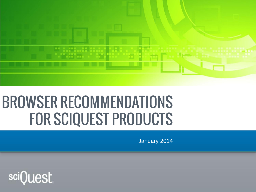

# **BROWSER RECOMMENDATIONS FOR SCIQUEST PRODUCTS**

January 2014

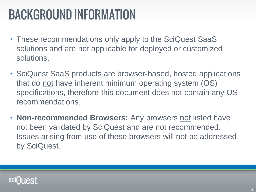### **BACKGROUND INFORMATION**

- These recommendations only apply to the SciQuest SaaS solutions and are not applicable for deployed or customized solutions.
- SciQuest SaaS products are browser-based, hosted applications that do not have inherent minimum operating system (OS) specifications, therefore this document does not contain any OS recommendations.
- **Non-recommended Browsers:** Any browsers not listed have not been validated by SciQuest and are not recommended. Issues arising from use of these browsers will not be addressed by SciQuest.

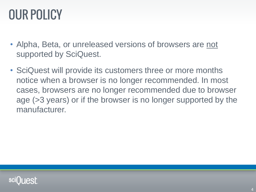## **OUR POLICY**

- Alpha, Beta, or unreleased versions of browsers are not supported by SciQuest.
- SciQuest will provide its customers three or more months notice when a browser is no longer recommended. In most cases, browsers are no longer recommended due to browser age (>3 years) or if the browser is no longer supported by the manufacturer.

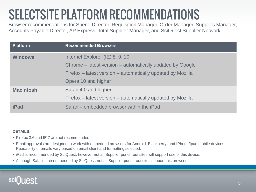## **SELECTSITE PLATFORM RECOMMENDATIONS**

Browser recommendations for Spend Director, Requisition Manager, Order Manager, Supplies Manager, Accounts Payable Director, AP Express, Total Supplier Manager, and SciQuest Supplier Network

| <b>Platform</b>  | <b>Recommended Browsers</b>                                 |
|------------------|-------------------------------------------------------------|
| <b>Windows</b>   | Internet Explorer (IE) 8, 9, 10                             |
|                  | Chrome – latest version – automatically updated by Google   |
|                  | Firefox – latest version – automatically updated by Mozilla |
|                  | Opera 10 and higher                                         |
| <b>Macintosh</b> | Safari 4.0 and higher                                       |
|                  | Firefox – latest version – automatically updated by Mozilla |
| <b>iPad</b>      | Safari – embedded browser within the iPad                   |

#### **DETAILS:**

- Firefox 3.6 and IE 7 are not recommended.
- Email approvals are designed to work with embedded browsers for Android, Blackberry, and IPhone/Ipad mobile devices. Readability of emails vary based on email client and formatting selected.
- iPad is recommended by SciQuest, however not all Supplier punch-out sites will support use of this device.
- Although Safari is recommended by SciQuest, not all Supplier punch-out sites support this browser.